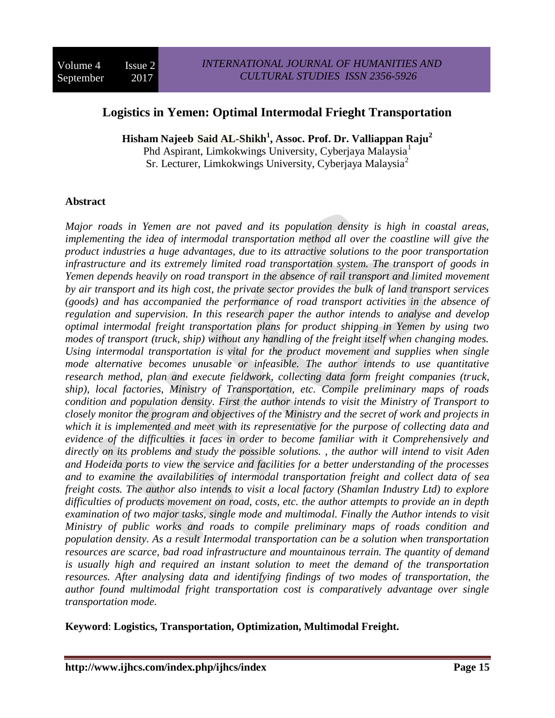# **Logistics in Yemen: Optimal Intermodal Frieght Transportation**

**Hisham Najeeb Said AL-Shikh<sup>1</sup> , Assoc. Prof. Dr. Valliappan Raju<sup>2</sup>** Phd Aspirant, Limkokwings University, Cyberjaya Malaysia<sup>1</sup> Sr. Lecturer, Limkokwings University, Cyberjaya Malaysia<sup>2</sup>

**Abstract** 

*Major roads in Yemen are not paved and its population density is high in coastal areas, implementing the idea of intermodal transportation method all over the coastline will give the product industries a huge advantages, due to its attractive solutions to the poor transportation infrastructure and its extremely limited road transportation system. The transport of goods in Yemen depends heavily on road transport in the absence of rail transport and limited movement by air transport and its high cost, the private sector provides the bulk of land transport services (goods) and has accompanied the performance of road transport activities in the absence of regulation and supervision. In this research paper the author intends to analyse and develop optimal intermodal freight transportation plans for product shipping in Yemen by using two modes of transport (truck, ship) without any handling of the freight itself when changing modes. Using intermodal transportation is vital for the product movement and supplies when single mode alternative becomes unusable or infeasible. The author intends to use quantitative research method, plan and execute fieldwork, collecting data form freight companies (truck, ship), local factories, Ministry of Transportation, etc. Compile preliminary maps of roads condition and population density. First the author intends to visit the Ministry of Transport to closely monitor the program and objectives of the Ministry and the secret of work and projects in which it is implemented and meet with its representative for the purpose of collecting data and evidence of the difficulties it faces in order to become familiar with it Comprehensively and directly on its problems and study the possible solutions. , the author will intend to visit Aden and Hodeida ports to view the service and facilities for a better understanding of the processes and to examine the availabilities of intermodal transportation freight and collect data of sea freight costs. The author also intends to visit a local factory (Shamlan Industry Ltd) to explore difficulties of products movement on road, costs, etc. the author attempts to provide an in depth examination of two major tasks, single mode and multimodal. Finally the Author intends to visit Ministry of public works and roads to compile preliminary maps of roads condition and population density. As a result Intermodal transportation can be a solution when transportation resources are scarce, bad road infrastructure and mountainous terrain. The quantity of demand is usually high and required an instant solution to meet the demand of the transportation resources. After analysing data and identifying findings of two modes of transportation, the author found multimodal fright transportation cost is comparatively advantage over single transportation mode.* 

**Keyword**: **Logistics, Transportation, Optimization, Multimodal Freight.**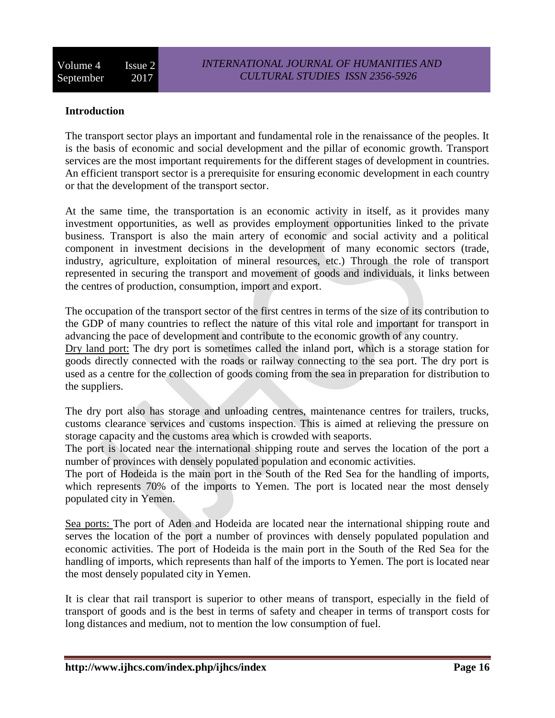## **Introduction**

The transport sector plays an important and fundamental role in the renaissance of the peoples. It is the basis of economic and social development and the pillar of economic growth. Transport services are the most important requirements for the different stages of development in countries. An efficient transport sector is a prerequisite for ensuring economic development in each country or that the development of the transport sector.

At the same time, the transportation is an economic activity in itself, as it provides many investment opportunities, as well as provides employment opportunities linked to the private business. Transport is also the main artery of economic and social activity and a political component in investment decisions in the development of many economic sectors (trade, industry, agriculture, exploitation of mineral resources, etc.) Through the role of transport represented in securing the transport and movement of goods and individuals, it links between the centres of production, consumption, import and export.

The occupation of the transport sector of the first centres in terms of the size of its contribution to the GDP of many countries to reflect the nature of this vital role and important for transport in advancing the pace of development and contribute to the economic growth of any country.

Dry land port: The dry port is sometimes called the inland port, which is a storage station for goods directly connected with the roads or railway connecting to the sea port. The dry port is used as a centre for the collection of goods coming from the sea in preparation for distribution to the suppliers.

The dry port also has storage and unloading centres, maintenance centres for trailers, trucks, customs clearance services and customs inspection. This is aimed at relieving the pressure on storage capacity and the customs area which is crowded with seaports.

The port is located near the international shipping route and serves the location of the port a number of provinces with densely populated population and economic activities.

The port of Hodeida is the main port in the South of the Red Sea for the handling of imports, which represents 70% of the imports to Yemen. The port is located near the most densely populated city in Yemen.

Sea ports: The port of Aden and Hodeida are located near the international shipping route and serves the location of the port a number of provinces with densely populated population and economic activities. The port of Hodeida is the main port in the South of the Red Sea for the handling of imports, which represents than half of the imports to Yemen. The port is located near the most densely populated city in Yemen.

It is clear that rail transport is superior to other means of transport, especially in the field of transport of goods and is the best in terms of safety and cheaper in terms of transport costs for long distances and medium, not to mention the low consumption of fuel.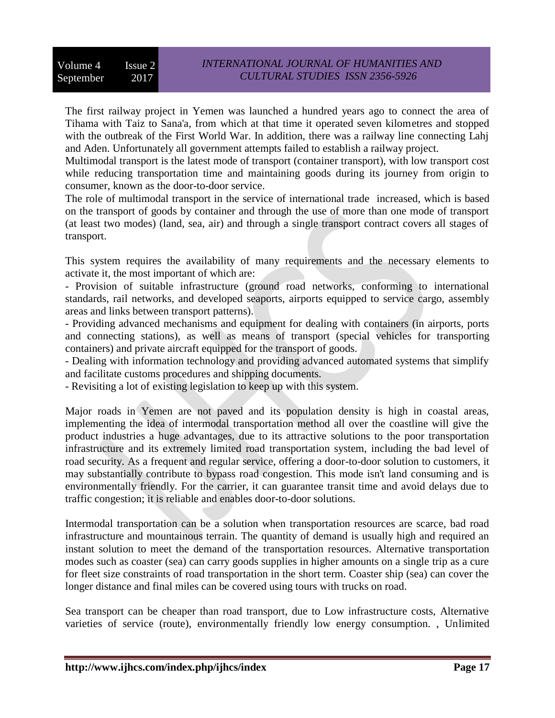The first railway project in Yemen was launched a hundred years ago to connect the area of Tihama with Taiz to Sana'a, from which at that time it operated seven kilometres and stopped with the outbreak of the First World War. In addition, there was a railway line connecting Lahj and Aden. Unfortunately all government attempts failed to establish a railway project.

Multimodal transport is the latest mode of transport (container transport), with low transport cost while reducing transportation time and maintaining goods during its journey from origin to consumer, known as the door-to-door service.

The role of multimodal transport in the service of international trade increased, which is based on the transport of goods by container and through the use of more than one mode of transport (at least two modes) (land, sea, air) and through a single transport contract covers all stages of transport.

This system requires the availability of many requirements and the necessary elements to activate it, the most important of which are:

- Provision of suitable infrastructure (ground road networks, conforming to international standards, rail networks, and developed seaports, airports equipped to service cargo, assembly areas and links between transport patterns).

- Providing advanced mechanisms and equipment for dealing with containers (in airports, ports and connecting stations), as well as means of transport (special vehicles for transporting containers) and private aircraft equipped for the transport of goods.

- Dealing with information technology and providing advanced automated systems that simplify and facilitate customs procedures and shipping documents.

- Revisiting a lot of existing legislation to keep up with this system.

Major roads in Yemen are not paved and its population density is high in coastal areas, implementing the idea of intermodal transportation method all over the coastline will give the product industries a huge advantages, due to its attractive solutions to the poor transportation infrastructure and its extremely limited road transportation system, including the bad level of road security. As a frequent and regular service, offering a door-to-door solution to customers, it may substantially contribute to bypass road congestion. This mode isn't land consuming and is environmentally friendly. For the carrier, it can guarantee transit time and avoid delays due to traffic congestion; it is reliable and enables door-to-door solutions.

Intermodal transportation can be a solution when transportation resources are scarce, bad road infrastructure and mountainous terrain. The quantity of demand is usually high and required an instant solution to meet the demand of the transportation resources. Alternative transportation modes such as coaster (sea) can carry goods supplies in higher amounts on a single trip as a cure for fleet size constraints of road transportation in the short term. Coaster ship (sea) can cover the longer distance and final miles can be covered using tours with trucks on road.

Sea transport can be cheaper than road transport, due to Low infrastructure costs, Alternative varieties of service (route), environmentally friendly low energy consumption. , Unlimited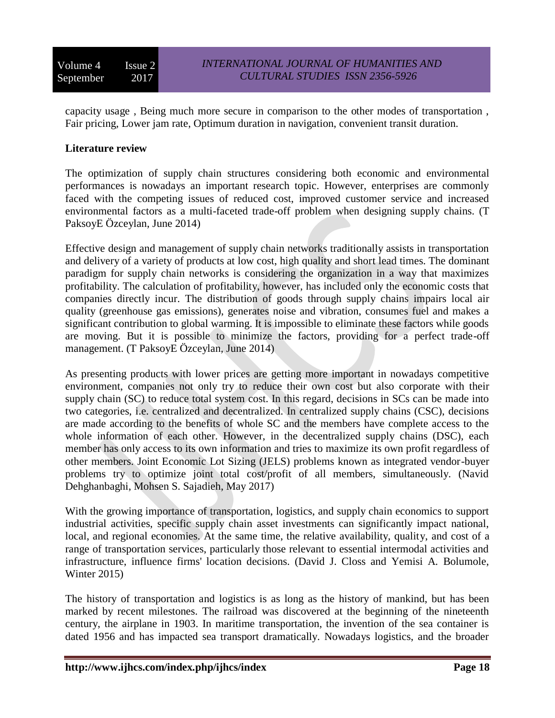capacity usage , Being much more secure in comparison to the other modes of transportation , Fair pricing, Lower jam rate, Optimum duration in navigation, convenient transit duration.

## **Literature review**

The optimization of supply chain structures considering both economic and environmental performances is nowadays an important research topic. However, enterprises are commonly faced with the competing issues of reduced cost, improved customer service and increased environmental factors as a multi-faceted trade-off problem when designing supply chains. (T PaksoyE Özceylan, June 2014)

Effective design and management of supply chain networks traditionally assists in transportation and delivery of a variety of products at low cost, high quality and short lead times. The dominant paradigm for supply chain networks is considering the organization in a way that maximizes profitability. The calculation of profitability, however, has included only the economic costs that companies directly incur. The distribution of goods through supply chains impairs local air quality (greenhouse gas emissions), generates noise and vibration, consumes fuel and makes a significant contribution to global warming. It is impossible to eliminate these factors while goods are moving. But it is possible to minimize the factors, providing for a perfect trade-off management. (T PaksoyE Özceylan, June 2014)

As presenting products with lower prices are getting more important in nowadays competitive environment, companies not only try to reduce their own cost but also corporate with their supply chain (SC) to reduce total system cost. In this regard, decisions in SCs can be made into two categories, i.e. centralized and decentralized. In centralized supply chains (CSC), decisions are made according to the benefits of whole SC and the members have complete access to the whole information of each other. However, in the decentralized supply chains (DSC), each member has only access to its own information and tries to maximize its own profit regardless of other members. Joint Economic Lot Sizing (JELS) problems known as integrated vendor-buyer problems try to optimize joint total cost/profit of all members, simultaneously. (Navid Dehghanbaghi, Mohsen S. Sajadieh, May 2017)

With the growing importance of transportation, logistics, and supply chain economics to support industrial activities, specific supply chain asset investments can significantly impact national, local, and regional economies. At the same time, the relative availability, quality, and cost of a range of transportation services, particularly those relevant to essential intermodal activities and infrastructure, influence firms' location decisions. (David J. Closs and Yemisi A. Bolumole, Winter 2015)

The history of transportation and logistics is as long as the history of mankind, but has been marked by recent milestones. The railroad was discovered at the beginning of the nineteenth century, the airplane in 1903. In maritime transportation, the invention of the sea container is dated 1956 and has impacted sea transport dramatically. Nowadays logistics, and the broader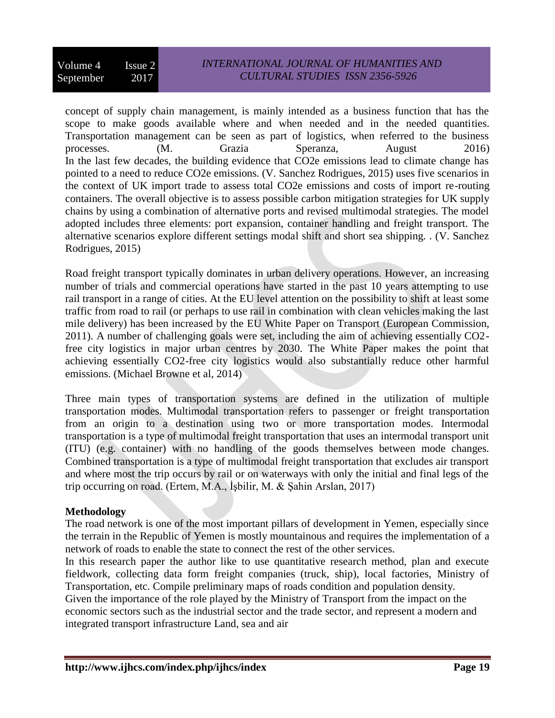## *INTERNATIONAL JOURNAL OF HUMANITIES AND CULTURAL STUDIES ISSN 2356-5926*

concept of supply chain management, is mainly intended as a business function that has the scope to make goods available where and when needed and in the needed quantities. Transportation management can be seen as part of logistics, when referred to the business processes. (M. Grazia Speranza, August 2016) In the last few decades, the building evidence that CO2e emissions lead to climate change has pointed to a need to reduce CO2e emissions. (V. Sanchez Rodrigues, 2015) uses five scenarios in the context of UK import trade to assess total CO2e emissions and costs of import re-routing containers. The overall objective is to assess possible carbon mitigation strategies for UK supply chains by using a combination of alternative ports and revised multimodal strategies. The model adopted includes three elements: port expansion, container handling and freight transport. The alternative scenarios explore different settings modal shift and short sea shipping. . (V. Sanchez Rodrigues, 2015)

Road freight transport typically dominates in urban delivery operations. However, an increasing number of trials and commercial operations have started in the past 10 years attempting to use rail transport in a range of cities. At the EU level attention on the possibility to shift at least some traffic from road to rail (or perhaps to use rail in combination with clean vehicles making the last mile delivery) has been increased by the EU White Paper on Transport (European Commission, 2011). A number of challenging goals were set, including the aim of achieving essentially CO2 free city logistics in major urban centres by 2030. The White Paper makes the point that achieving essentially CO2-free city logistics would also substantially reduce other harmful emissions. (Michael Browne et al, 2014)

Three main types of transportation systems are defined in the utilization of multiple transportation modes. Multimodal transportation refers to passenger or freight transportation from an origin to a destination using two or more transportation modes. Intermodal transportation is a type of multimodal freight transportation that uses an intermodal transport unit (ITU) (e.g. container) with no handling of the goods themselves between mode changes. Combined transportation is a type of multimodal freight transportation that excludes air transport and where most the trip occurs by rail or on waterways with only the initial and final legs of the trip occurring on road. (Ertem, M.A., İşbilir, M. & Şahin Arslan, 2017)

## **Methodology**

The road network is one of the most important pillars of development in Yemen, especially since the terrain in the Republic of Yemen is mostly mountainous and requires the implementation of a network of roads to enable the state to connect the rest of the other services.

In this research paper the author like to use quantitative research method, plan and execute fieldwork, collecting data form freight companies (truck, ship), local factories, Ministry of Transportation, etc. Compile preliminary maps of roads condition and population density.

Given the importance of the role played by the Ministry of Transport from the impact on the economic sectors such as the industrial sector and the trade sector, and represent a modern and integrated transport infrastructure Land, sea and air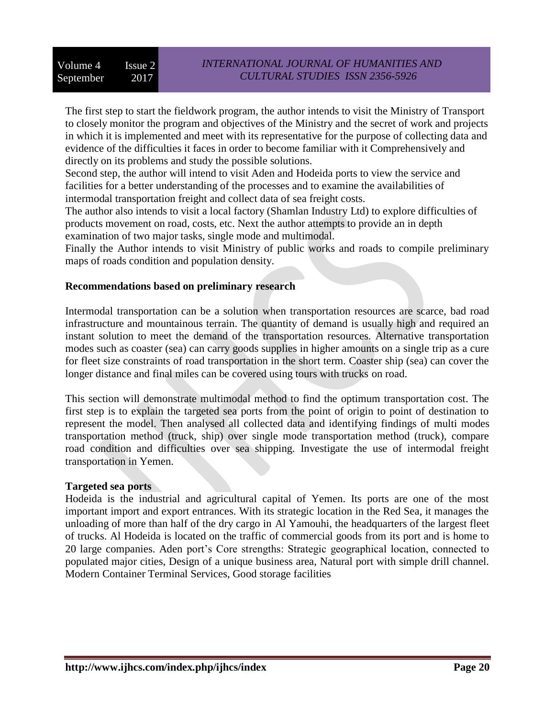The first step to start the fieldwork program, the author intends to visit the Ministry of Transport to closely monitor the program and objectives of the Ministry and the secret of work and projects in which it is implemented and meet with its representative for the purpose of collecting data and evidence of the difficulties it faces in order to become familiar with it Comprehensively and directly on its problems and study the possible solutions.

Second step, the author will intend to visit Aden and Hodeida ports to view the service and facilities for a better understanding of the processes and to examine the availabilities of intermodal transportation freight and collect data of sea freight costs.

The author also intends to visit a local factory (Shamlan Industry Ltd) to explore difficulties of products movement on road, costs, etc. Next the author attempts to provide an in depth examination of two major tasks, single mode and multimodal.

Finally the Author intends to visit Ministry of public works and roads to compile preliminary maps of roads condition and population density.

### **Recommendations based on preliminary research**

Intermodal transportation can be a solution when transportation resources are scarce, bad road infrastructure and mountainous terrain. The quantity of demand is usually high and required an instant solution to meet the demand of the transportation resources. Alternative transportation modes such as coaster (sea) can carry goods supplies in higher amounts on a single trip as a cure for fleet size constraints of road transportation in the short term. Coaster ship (sea) can cover the longer distance and final miles can be covered using tours with trucks on road.

This section will demonstrate multimodal method to find the optimum transportation cost. The first step is to explain the targeted sea ports from the point of origin to point of destination to represent the model. Then analysed all collected data and identifying findings of multi modes transportation method (truck, ship) over single mode transportation method (truck), compare road condition and difficulties over sea shipping. Investigate the use of intermodal freight transportation in Yemen.

#### **Targeted sea ports**

Hodeida is the industrial and agricultural capital of Yemen. Its ports are one of the most important import and export entrances. With its strategic location in the Red Sea, it manages the unloading of more than half of the dry cargo in Al Yamouhi, the headquarters of the largest fleet of trucks. Al Hodeida is located on the traffic of commercial goods from its port and is home to 20 large companies. Aden port's Core strengths: Strategic geographical location, connected to populated major cities, Design of a unique business area, Natural port with simple drill channel. Modern Container Terminal Services, Good storage facilities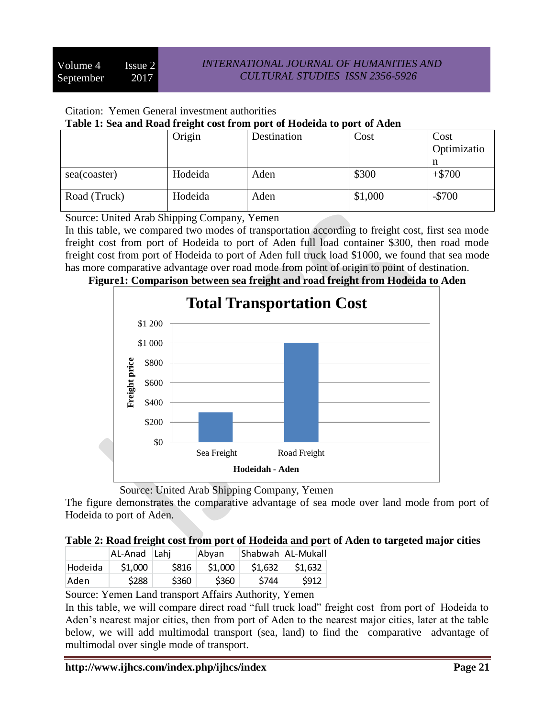## Citation: Yemen General investment authorities

### **Table 1: Sea and Road freight cost from port of Hodeida to port of Aden**

|              | Origin  | Destination | Cost    | Cost<br>Optimizatio |
|--------------|---------|-------------|---------|---------------------|
| sea(coaster) | Hodeida | Aden        | \$300   | n<br>$+ $700$       |
| Road (Truck) | Hodeida | Aden        | \$1,000 | $-$700$             |

Source: United Arab Shipping Company, Yemen

In this table, we compared two modes of transportation according to freight cost, first sea mode freight cost from port of Hodeida to port of Aden full load container \$300, then road mode freight cost from port of Hodeida to port of Aden full truck load \$1000, we found that sea mode has more comparative advantage over road mode from point of origin to point of destination.





Source: United Arab Shipping Company, Yemen

The figure demonstrates the comparative advantage of sea mode over land mode from port of Hodeida to port of Aden.

# **Table 2: Road freight cost from port of Hodeida and port of Aden to targeted major cities**

|         | AL-Anad Lahj |                  | Abvan            |         | Shabwah   AL-Mukall |
|---------|--------------|------------------|------------------|---------|---------------------|
| Hodeida | \$1,000      | S816             | \$1,000          | \$1,632 | \$1,632             |
| 'Aden   | <b>S288</b>  | S <sub>360</sub> | S <sub>360</sub> | S744    | \$912               |

Source: Yemen Land transport Affairs Authority, Yemen

In this table, we will compare direct road "full truck load" freight cost from port of Hodeida to Aden's nearest major cities, then from port of Aden to the nearest major cities, later at the table below, we will add multimodal transport (sea, land) to find the comparative advantage of multimodal over single mode of transport.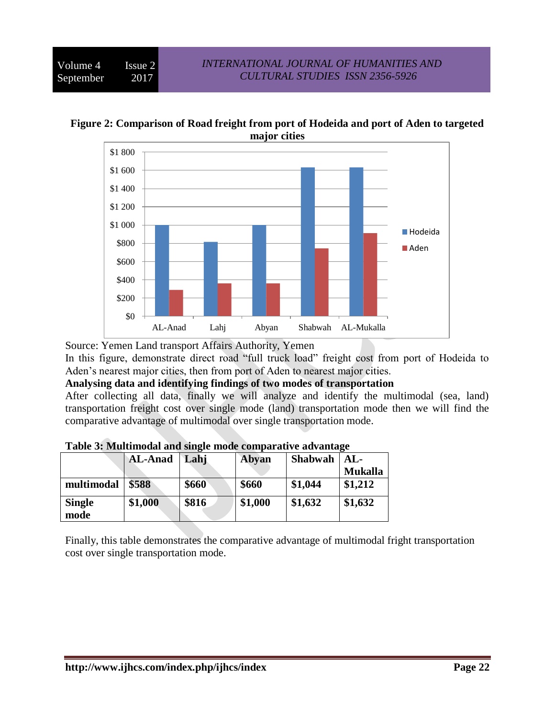**Figure 2: Comparison of Road freight from port of Hodeida and port of Aden to targeted major cities**



Source: Yemen Land transport Affairs Authority, Yemen

In this figure, demonstrate direct road "full truck load" freight cost from port of Hodeida to Aden's nearest major cities, then from port of Aden to nearest major cities.

**Analysing data and identifying findings of two modes of transportation**

After collecting all data, finally we will analyze and identify the multimodal (sea, land) transportation freight cost over single mode (land) transportation mode then we will find the comparative advantage of multimodal over single transportation mode.

|                       | <b>AL-Anad</b> | Lahj  | Abyan   | <b>Shabwah</b> | $AL-$<br><b>Mukalla</b> |
|-----------------------|----------------|-------|---------|----------------|-------------------------|
| multimodal            | \$588          | \$660 | \$660   | \$1,044        | \$1,212                 |
| <b>Single</b><br>mode | \$1,000        | \$816 | \$1,000 | \$1,632        | \$1,632                 |

Finally, this table demonstrates the comparative advantage of multimodal fright transportation cost over single transportation mode.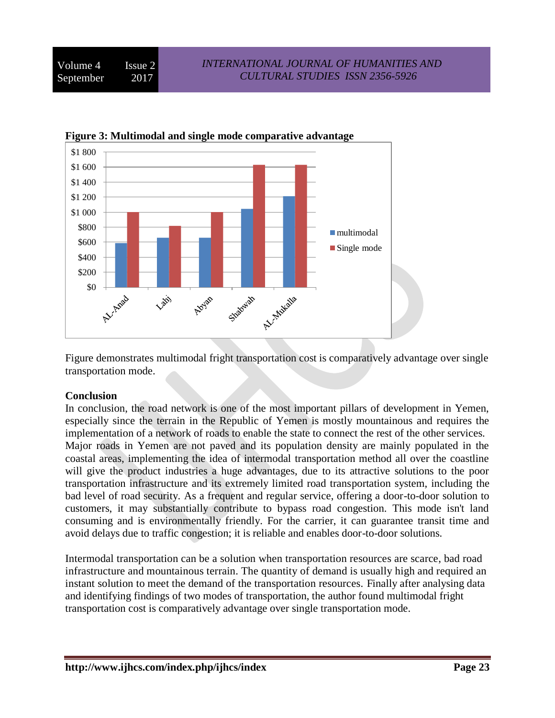



Figure demonstrates multimodal fright transportation cost is comparatively advantage over single transportation mode.

#### **Conclusion**

In conclusion, the road network is one of the most important pillars of development in Yemen, especially since the terrain in the Republic of Yemen is mostly mountainous and requires the implementation of a network of roads to enable the state to connect the rest of the other services. Major roads in Yemen are not paved and its population density are mainly populated in the coastal areas, implementing the idea of intermodal transportation method all over the coastline will give the product industries a huge advantages, due to its attractive solutions to the poor transportation infrastructure and its extremely limited road transportation system, including the bad level of road security. As a frequent and regular service, offering a door-to-door solution to customers, it may substantially contribute to bypass road congestion. This mode isn't land consuming and is environmentally friendly. For the carrier, it can guarantee transit time and avoid delays due to traffic congestion; it is reliable and enables door-to-door solutions.

Intermodal transportation can be a solution when transportation resources are scarce, bad road infrastructure and mountainous terrain. The quantity of demand is usually high and required an instant solution to meet the demand of the transportation resources. Finally after analysing data and identifying findings of two modes of transportation, the author found multimodal fright transportation cost is comparatively advantage over single transportation mode.